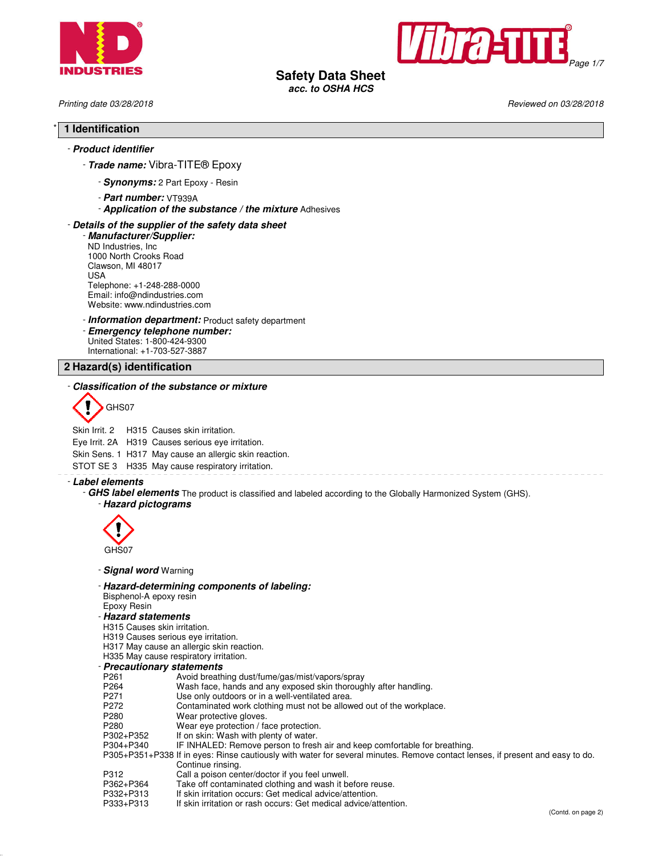



**Safety Data Sheet**

**acc. to OSHA HCS**

Printing date 03/28/2018 Reviewed on 03/28/2018

## \* **1 Identification**

## - **Product identifier**

- **Trade name:** Vibra-TITE® Epoxy

- **Synonyms:** 2 Part Epoxy Resin
- **Part number:** VT939A
- **Application of the substance / the mixture** Adhesives

## - **Details of the supplier of the safety data sheet**

- **Manufacturer/Supplier:** ND Industries, Inc 1000 North Crooks Road Clawson, MI 48017 USA Telephone: +1-248-288-0000 Email: info@ndindustries.com Website: www.ndindustries.com

## - **Information department:** Product safety department

- **Emergency telephone number:** United States: 1-800-424-9300

International: +1-703-527-3887

## **2 Hazard(s) identification**

## - **Classification of the substance or mixture**



Skin Irrit. 2 H315 Causes skin irritation.

Eye Irrit. 2A H319 Causes serious eye irritation.

Skin Sens. 1 H317 May cause an allergic skin reaction.

STOT SE 3 H335 May cause respiratory irritation.

- **Label elements**

- **GHS label elements** The product is classified and labeled according to the Globally Harmonized System (GHS).

- **Hazard pictograms**



- **Signal word** Warning

- **Hazard-determining components of labeling:**

Bisphenol-A epoxy resin

- Epoxy Resin
- **Hazard statements**
- H315 Causes skin irritation.
- H319 Causes serious eye irritation.
- H317 May cause an allergic skin reaction.
- H335 May cause respiratory irritation.
- **Precautionary statements**
- Avoid breathing dust/fume/gas/mist/vapors/spray
- P264 Wash face, hands and any exposed skin thoroughly after handling.<br>P271 Use only outdoors or in a well-ventilated area.
- P271 Use only outdoors or in a well-ventilated area.<br>P272 Contaminated work clothing must not be allow
- P272 Contaminated work clothing must not be allowed out of the workplace.<br>P280 Wear protective gloves.
- 
- P280 Wear protective gloves.<br>P280 Wear eve protection / fa
- P280 Wear eye protection / face protection.<br>P302+P352 If on skin: Wash with plenty of water.
- P302+P352 If on skin: Wash with plenty of water.<br>P304+P340 IF INHALED: Remove person to fresl IF INHALED: Remove person to fresh air and keep comfortable for breathing.
- P305+P351+P338 If in eyes: Rinse cautiously with water for several minutes. Remove contact lenses, if present and easy to do. Continue rinsing.
	- P312 Call a poison center/doctor if you feel unwell.<br>P362+P364 Take off contaminated clothing and wash it b
	- P362+P364 Take off contaminated clothing and wash it before reuse.<br>P332+P313 If skin irritation occurs: Get medical advice/attention.
	- P332+P313 If skin irritation occurs: Get medical advice/attention.<br>P333+P313 If skin irritation or rash occurs: Get medical advice/at
	- If skin irritation or rash occurs: Get medical advice/attention.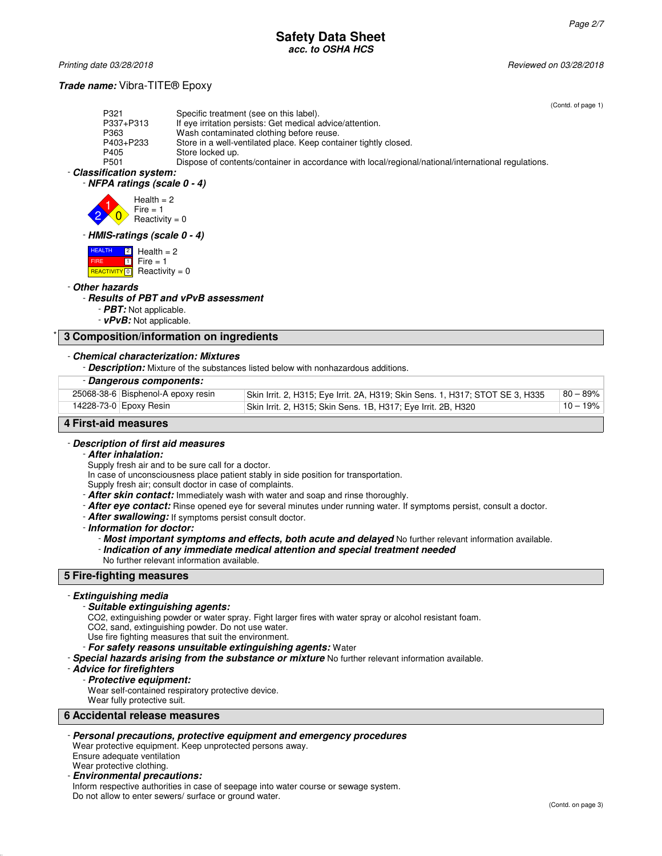## **Safety Data Sheet acc. to OSHA HCS**

Printing date 03/28/2018 Reviewed on 03/28/2018

## **Trade name:** Vibra-TITE® Epoxy

(Contd. of page 1)

|                          |                                                                                                     | TOONIJA. |
|--------------------------|-----------------------------------------------------------------------------------------------------|----------|
| P321                     | Specific treatment (see on this label).                                                             |          |
| P337+P313                | If eye irritation persists: Get medical advice/attention.                                           |          |
| P363                     | Wash contaminated clothing before reuse.                                                            |          |
| P403+P233                | Store in a well-ventilated place. Keep container tightly closed.                                    |          |
| P405                     | Store locked up.                                                                                    |          |
| P501                     | Dispose of contents/container in accordance with local/regional/national/international regulations. |          |
| - Classification system: |                                                                                                     |          |
|                          |                                                                                                     |          |

## - **NFPA ratings (scale 0 - 4)**



## - **HMIS-ratings (scale 0 - 4)**

| <b>HEALTH</b>     | $\begin{bmatrix} 2 \\ 1 \end{bmatrix}$ Health = 2                       |
|-------------------|-------------------------------------------------------------------------|
| FIRE <sup>1</sup> | $\boxed{1}$ Fire = 1                                                    |
|                   | <b>REACTIVITY</b> $\begin{bmatrix} 0 \\ 1 \end{bmatrix}$ Reactivity = 0 |

## - **Other hazards**

## - **Results of PBT and vPvB assessment**

- **PBT:** Not applicable.
- **vPvB:** Not applicable.

## \* **3 Composition/information on ingredients**

## - **Chemical characterization: Mixtures**

- **Description:** Mixture of the substances listed below with nonhazardous additions.

#### - **Dangerous components:**

| 25068-38-6 Bisphenol-A epoxy resin | Skin Irrit. 2, H315; Eye Irrit. 2A, H319; Skin Sens. 1, H317; STOT SE 3, H335 | $80 - 89%$  |
|------------------------------------|-------------------------------------------------------------------------------|-------------|
| 14228-73-0 Epoxy Resin             | Skin Irrit. 2, H315; Skin Sens. 1B, H317; Eye Irrit. 2B, H320                 | $10 - 19\%$ |

## **4 First-aid measures**

#### - **Description of first aid measures**

#### - **After inhalation:**

Supply fresh air and to be sure call for a doctor.

In case of unconsciousness place patient stably in side position for transportation.

Supply fresh air; consult doctor in case of complaints.

- **After skin contact:** Immediately wash with water and soap and rinse thoroughly.
- **After eye contact:** Rinse opened eye for several minutes under running water. If symptoms persist, consult a doctor.
- **After swallowing:** If symptoms persist consult doctor.

- **Information for doctor:**

- **Most important symptoms and effects, both acute and delayed** No further relevant information available.
- **Indication of any immediate medical attention and special treatment needed** No further relevant information available.

## **5 Fire-fighting measures**

#### - **Extinguishing media**

#### - **Suitable extinguishing agents:**

CO2, extinguishing powder or water spray. Fight larger fires with water spray or alcohol resistant foam.

- CO2, sand, extinguishing powder. Do not use water.
- Use fire fighting measures that suit the environment.
- **For safety reasons unsuitable extinguishing agents:** Water
- **Special hazards arising from the substance or mixture** No further relevant information available.

#### - **Advice for firefighters**

#### - **Protective equipment:**

- Wear self-contained respiratory protective device.
- Wear fully protective suit.

## **6 Accidental release measures**

- **Personal precautions, protective equipment and emergency procedures**

#### Wear protective equipment. Keep unprotected persons away. Ensure adequate ventilation Wear protective clothing.

- **Environmental precautions:**

Inform respective authorities in case of seepage into water course or sewage system. Do not allow to enter sewers/ surface or ground water.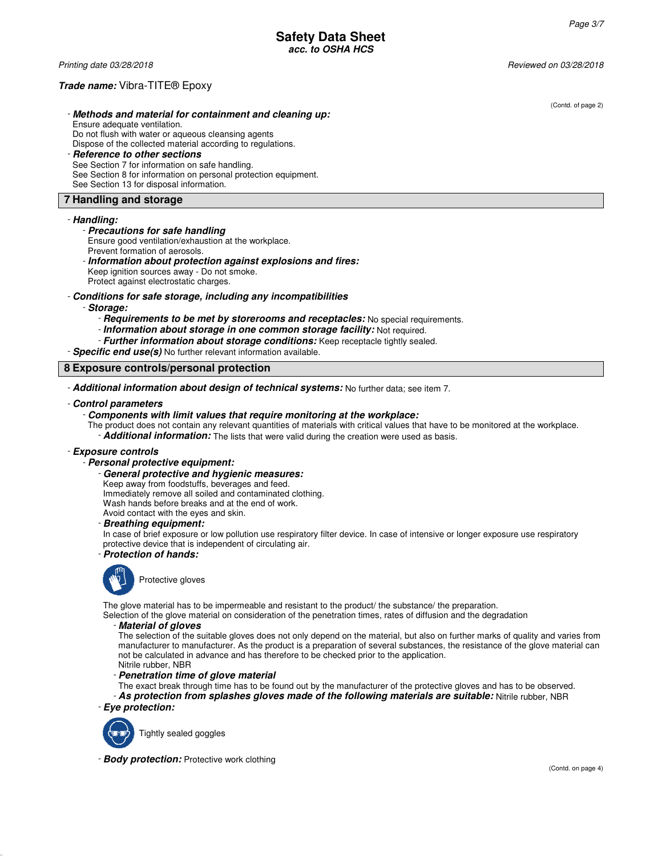## **Trade name:** Vibra-TITE® Epoxy

- **Methods and material for containment and cleaning up:** Ensure adequate ventilation. Do not flush with water or aqueous cleansing agents Dispose of the collected material according to regulations.

#### - **Reference to other sections** See Section 7 for information on safe handling. See Section 8 for information on personal protection equipment. See Section 13 for disposal information.

## **7 Handling and storage**

#### - **Handling:**

#### - **Precautions for safe handling**

Ensure good ventilation/exhaustion at the workplace.

Prevent formation of aerosols.

- **Information about protection against explosions and fires:**

Keep ignition sources away - Do not smoke. Protect against electrostatic charges.

## - **Conditions for safe storage, including any incompatibilities**

- **Storage:**

- **Requirements to be met by storerooms and receptacles:** No special requirements.
- **Information about storage in one common storage facility:** Not required.
- **Further information about storage conditions:** Keep receptacle tightly sealed.

- **Specific end use(s)** No further relevant information available.

## **8 Exposure controls/personal protection**

- **Additional information about design of technical systems:** No further data; see item 7.

#### - **Control parameters**

- **Components with limit values that require monitoring at the workplace:**
- The product does not contain any relevant quantities of materials with critical values that have to be monitored at the workplace.
	- **Additional information:** The lists that were valid during the creation were used as basis.

## - **Exposure controls**

#### - **Personal protective equipment:**

- **General protective and hygienic measures:**

Keep away from foodstuffs, beverages and feed.

Immediately remove all soiled and contaminated clothing.

Wash hands before breaks and at the end of work.

Avoid contact with the eyes and skin.

- **Breathing equipment:**

In case of brief exposure or low pollution use respiratory filter device. In case of intensive or longer exposure use respiratory protective device that is independent of circulating air. - **Protection of hands:**



The glove material has to be impermeable and resistant to the product/ the substance/ the preparation.

Selection of the glove material on consideration of the penetration times, rates of diffusion and the degradation

#### - **Material of gloves**

The selection of the suitable gloves does not only depend on the material, but also on further marks of quality and varies from manufacturer to manufacturer. As the product is a preparation of several substances, the resistance of the glove material can not be calculated in advance and has therefore to be checked prior to the application. Nitrile rubber, NBR

- **Penetration time of glove material**

The exact break through time has to be found out by the manufacturer of the protective gloves and has to be observed. - **As protection from splashes gloves made of the following materials are suitable:** Nitrile rubber, NBR

- **Eye protection:**



Tightly sealed goggles

- **Body protection:** Protective work clothing

(Contd. of page 2)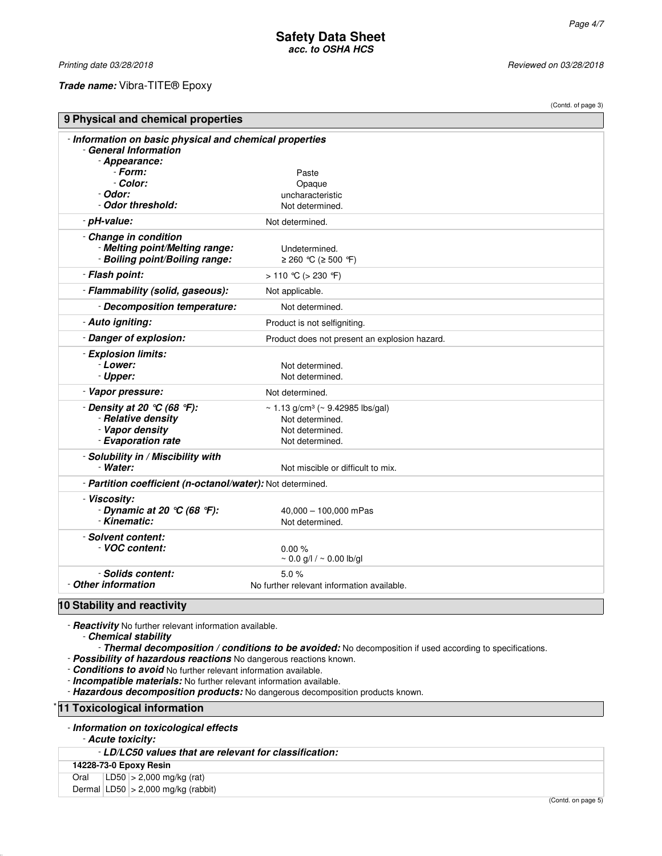Printing date 03/28/2018 **Reviewed on 03/28/2018** Reviewed on 03/28/2018

## **Trade name:** Vibra-TITE® Epoxy

|                                                                                                   |                                                                                                       | (Contd. of page 3) |  |  |
|---------------------------------------------------------------------------------------------------|-------------------------------------------------------------------------------------------------------|--------------------|--|--|
| 9 Physical and chemical properties                                                                |                                                                                                       |                    |  |  |
| - Information on basic physical and chemical properties<br>- General Information<br>- Appearance: |                                                                                                       |                    |  |  |
| - Form:<br>Paste                                                                                  |                                                                                                       |                    |  |  |
| - Color:                                                                                          | Opaque                                                                                                |                    |  |  |
| - Odor:<br>- Odor threshold:                                                                      | uncharacteristic<br>Not determined.                                                                   |                    |  |  |
| - pH-value:                                                                                       | Not determined.                                                                                       |                    |  |  |
|                                                                                                   |                                                                                                       |                    |  |  |
| - Change in condition<br>- Melting point/Melting range:<br>- Boiling point/Boiling range:         | Undetermined.<br>≥ 260 °C (≥ 500 °F)                                                                  |                    |  |  |
| - Flash point:                                                                                    | > 110 °C (> 230 °F)                                                                                   |                    |  |  |
| - Flammability (solid, gaseous):                                                                  | Not applicable.                                                                                       |                    |  |  |
| - Decomposition temperature:                                                                      | Not determined.                                                                                       |                    |  |  |
| - Auto igniting:                                                                                  | Product is not selfigniting.                                                                          |                    |  |  |
| - Danger of explosion:                                                                            | Product does not present an explosion hazard.                                                         |                    |  |  |
| - Explosion limits:<br>- Lower:<br>- Upper:                                                       | Not determined.<br>Not determined.                                                                    |                    |  |  |
| - Vapor pressure:                                                                                 | Not determined.                                                                                       |                    |  |  |
| - Density at 20 $°C$ (68 °F):<br>- Relative density<br>- Vapor density<br>- Evaporation rate      | ~ 1.13 g/cm <sup>3</sup> (~ 9.42985 lbs/gal)<br>Not determined.<br>Not determined.<br>Not determined. |                    |  |  |
| - Solubility in / Miscibility with<br>- Water:                                                    | Not miscible or difficult to mix.                                                                     |                    |  |  |
| - Partition coefficient (n-octanol/water): Not determined.                                        |                                                                                                       |                    |  |  |
| - Viscosity:<br>- Dynamic at 20 $\degree$ C (68 $\degree$ F):<br>- Kinematic:                     | 40,000 - 100,000 mPas<br>Not determined.                                                              |                    |  |  |
| - Solvent content:<br>VOC content:                                                                | 0.00%<br>$\sim 0.0$ g/l / $\sim 0.00$ lb/gl                                                           |                    |  |  |
| - Solids content:<br>- Other information<br>$10$ Ctability and vecativity                         | 5.0%<br>No further relevant information available.                                                    |                    |  |  |

**10 Stability and reactivity**

- **Reactivity** No further relevant information available. - **Chemical stability**

- **Thermal decomposition / conditions to be avoided:** No decomposition if used according to specifications.

- **Possibility of hazardous reactions** No dangerous reactions known.

- **Conditions to avoid** No further relevant information available.

- **Incompatible materials:** No further relevant information available.

- **Hazardous decomposition products:** No dangerous decomposition products known.

**11 Toxicological information** 

| - Information on toxicological effects |  |  |  |  |
|----------------------------------------|--|--|--|--|
|----------------------------------------|--|--|--|--|

- **Acute toxicity:**

- **LD/LC50 values that are relevant for classification:**

**14228-73-0 Epoxy Resin**

Oral LD50 > 2,000 mg/kg (rat)

Dermal  $|LD50| > 2,000$  mg/kg (rabbit)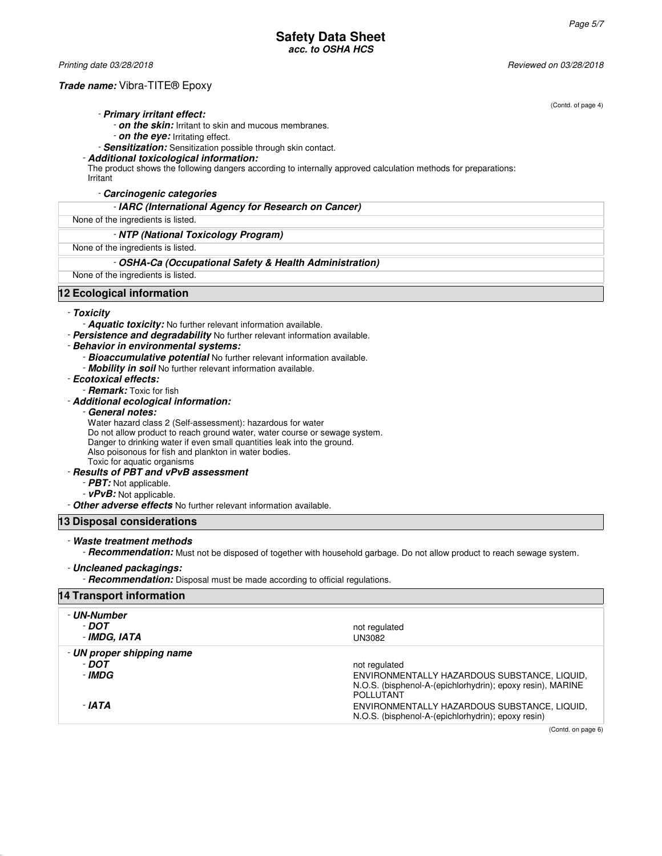Printing date 03/28/2018 Reviewed on 03/28/2018

## **Trade name:** Vibra-TITE® Epoxy

(Contd. of page 4)

#### - **Primary irritant effect:**

- **on the skin:** Irritant to skin and mucous membranes.
- **on the eye:** Irritating effect.
- **Sensitization:** Sensitization possible through skin contact.

#### - **Additional toxicological information:**

The product shows the following dangers according to internally approved calculation methods for preparations:

Irritant

- **Carcinogenic categories**

## - **IARC (International Agency for Research on Cancer)**

## None of the ingredients is listed.

- **NTP (National Toxicology Program)**

## None of the ingredients is listed.

#### - **OSHA-Ca (Occupational Safety & Health Administration)**

None of the ingredients is listed.

## **12 Ecological information**

## - **Toxicity**

Aquatic toxicity: No further relevant information available.

- **Persistence and degradability** No further relevant information available.
- **Behavior in environmental systems:**
	- **Bioaccumulative potential** No further relevant information available.
	- **Mobility in soil** No further relevant information available.
- **Ecotoxical effects:**
- **Remark:** Toxic for fish

#### - **Additional ecological information:**

#### - **General notes:**

Water hazard class 2 (Self-assessment): hazardous for water

Do not allow product to reach ground water, water course or sewage system.

Danger to drinking water if even small quantities leak into the ground.

Also poisonous for fish and plankton in water bodies.

Toxic for aquatic organisms

#### - **Results of PBT and vPvB assessment**

- **PBT:** Not applicable.
- **vPvB:** Not applicable.

- **Other adverse effects** No further relevant information available.

## **13 Disposal considerations**

## - **Waste treatment methods**

- **Recommendation:** Must not be disposed of together with household garbage. Do not allow product to reach sewage system.

#### - **Uncleaned packagings:**

- **Recommendation:** Disposal must be made according to official regulations.

|  | <b>14 Transport information</b> |  |
|--|---------------------------------|--|

| - UN-Number<br>- DOT<br>- IMDG, IATA         | not regulated<br>UN3082                                                                                                                         |
|----------------------------------------------|-------------------------------------------------------------------------------------------------------------------------------------------------|
| - UN proper shipping name<br>- DOT<br>- IMDG | not regulated<br>ENVIRONMENTALLY HAZARDOUS SUBSTANCE, LIQUID,<br>N.O.S. (bisphenol-A-(epichlorhydrin); epoxy resin), MARINE<br><b>POLLUTANT</b> |
| - IATA                                       | ENVIRONMENTALLY HAZARDOUS SUBSTANCE, LIQUID,<br>N.O.S. (bisphenol-A-(epichlorhydrin); epoxy resin)                                              |

(Contd. on page 6)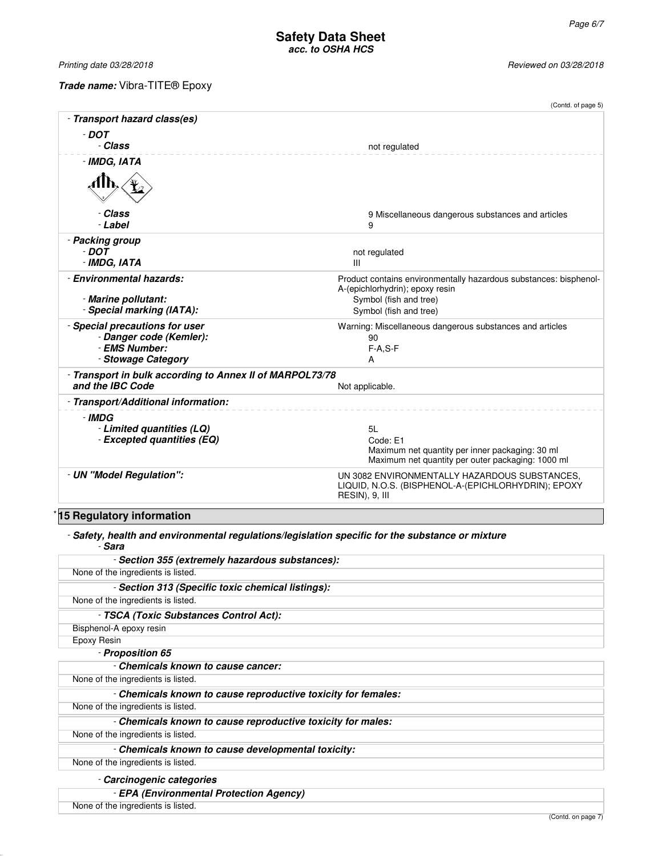Printing date 03/28/2018 **Reviewed on 03/28/2018** 

**Trade name:** Vibra-TITE® Epoxy

|                                                           | (Contd. of page 5)                                                    |
|-----------------------------------------------------------|-----------------------------------------------------------------------|
| - Transport hazard class(es)                              |                                                                       |
| $-$ DOT                                                   |                                                                       |
| - Class                                                   | not regulated                                                         |
| - IMDG, IATA                                              |                                                                       |
|                                                           |                                                                       |
| - Class                                                   | 9 Miscellaneous dangerous substances and articles                     |
| - Label                                                   | 9                                                                     |
| - Packing group<br>- DOT                                  |                                                                       |
| - IMDG, IATA                                              | not regulated<br>III                                                  |
| - Environmental hazards:                                  | Product contains environmentally hazardous substances: bisphenol-     |
|                                                           | A-(epichlorhydrin); epoxy resin                                       |
| - Marine pollutant:                                       | Symbol (fish and tree)                                                |
| - Special marking (IATA):                                 | Symbol (fish and tree)                                                |
| - Special precautions for user<br>- Danger code (Kemler): | Warning: Miscellaneous dangerous substances and articles              |
| - EMS Number:                                             | 90<br>$F-A.S-F$                                                       |
| - Stowage Category                                        | A                                                                     |
| - Transport in bulk according to Annex II of MARPOL73/78  |                                                                       |
| and the IBC Code                                          | Not applicable.                                                       |
| - Transport/Additional information:                       |                                                                       |
| - IMDG                                                    |                                                                       |
| - Limited quantities (LQ)                                 | 5L                                                                    |
| - Excepted quantities (EQ)                                | Code: E1<br>Maximum net quantity per inner packaging: 30 ml           |
|                                                           | Maximum net quantity per outer packaging: 1000 ml                     |
| - UN "Model Regulation":                                  | UN 3082 ENVIRONMENTALLY HAZARDOUS SUBSTANCES,                         |
|                                                           | LIQUID, N.O.S. (BISPHENOL-A-(EPICHLORHYDRIN); EPOXY<br>RESIN), 9, III |
|                                                           |                                                                       |

# \* **15 Regulatory information**

- **Safety, health and environmental regulations/legislation specific for the substance or mixture** - **Sara**

| - Section 355 (extremely hazardous substances):               |
|---------------------------------------------------------------|
| None of the ingredients is listed.                            |
| - Section 313 (Specific toxic chemical listings):             |
| None of the ingredients is listed.                            |
| - TSCA (Toxic Substances Control Act):                        |
| Bisphenol-A epoxy resin                                       |
| Epoxy Resin                                                   |
| - Proposition 65                                              |
| - Chemicals known to cause cancer:                            |
| None of the ingredients is listed.                            |
| - Chemicals known to cause reproductive toxicity for females: |
| None of the ingredients is listed.                            |
| - Chemicals known to cause reproductive toxicity for males:   |
| None of the ingredients is listed.                            |
| - Chemicals known to cause developmental toxicity:            |
| None of the ingredients is listed.                            |
| - Carcinogenic categories                                     |
| - EPA (Environmental Protection Agency)                       |
| None of the ingredients is listed.                            |

(Contd. on page 7)